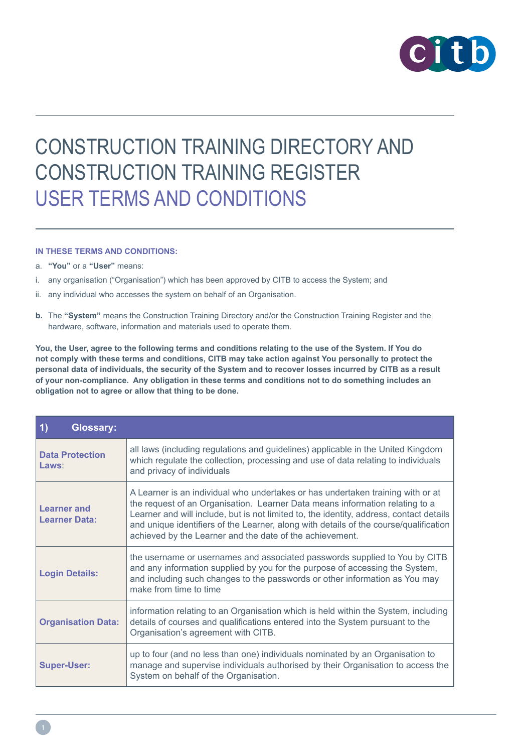

# CONSTRUCTION TRAINING DIRECTORY AND CONSTRUCTION TRAINING REGISTER USER TERMS AND CONDITIONS

#### **IN THESE TERMS AND CONDITIONS:**

- a. **"You"** or a **"User"** means:
- i. any organisation ("Organisation") which has been approved by CITB to access the System; and
- ii. any individual who accesses the system on behalf of an Organisation.
- **b.** The **"System"** means the Construction Training Directory and/or the Construction Training Register and the hardware, software, information and materials used to operate them.

**You, the User, agree to the following terms and conditions relating to the use of the System. If You do not comply with these terms and conditions, CITB may take action against You personally to protect the personal data of individuals, the security of the System and to recover losses incurred by CITB as a result of your non-compliance. Any obligation in these terms and conditions not to do something includes an obligation not to agree or allow that thing to be done.**

| $\vert$<br><b>Glossary:</b>                |                                                                                                                                                                                                                                                                                                                                                                                                                 |
|--------------------------------------------|-----------------------------------------------------------------------------------------------------------------------------------------------------------------------------------------------------------------------------------------------------------------------------------------------------------------------------------------------------------------------------------------------------------------|
| <b>Data Protection</b><br>Laws:            | all laws (including regulations and guidelines) applicable in the United Kingdom<br>which regulate the collection, processing and use of data relating to individuals<br>and privacy of individuals                                                                                                                                                                                                             |
| <b>Learner</b> and<br><b>Learner Data:</b> | A Learner is an individual who undertakes or has undertaken training with or at<br>the request of an Organisation. Learner Data means information relating to a<br>Learner and will include, but is not limited to, the identity, address, contact details<br>and unique identifiers of the Learner, along with details of the course/qualification<br>achieved by the Learner and the date of the achievement. |
| <b>Login Details:</b>                      | the username or usernames and associated passwords supplied to You by CITB<br>and any information supplied by you for the purpose of accessing the System,<br>and including such changes to the passwords or other information as You may<br>make from time to time                                                                                                                                             |
| <b>Organisation Data:</b>                  | information relating to an Organisation which is held within the System, including<br>details of courses and qualifications entered into the System pursuant to the<br>Organisation's agreement with CITB.                                                                                                                                                                                                      |
| <b>Super-User:</b>                         | up to four (and no less than one) individuals nominated by an Organisation to<br>manage and supervise individuals authorised by their Organisation to access the<br>System on behalf of the Organisation.                                                                                                                                                                                                       |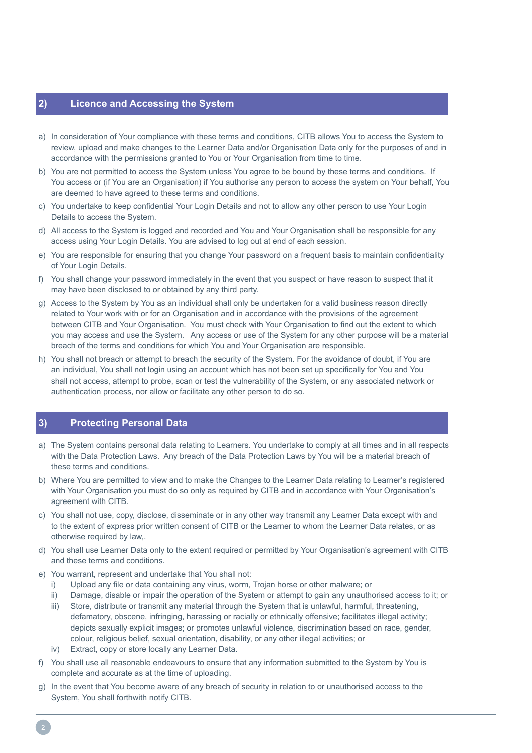# **2) Licence and Accessing the System**

- a) In consideration of Your compliance with these terms and conditions, CITB allows You to access the System to review, upload and make changes to the Learner Data and/or Organisation Data only for the purposes of and in accordance with the permissions granted to You or Your Organisation from time to time.
- b) You are not permitted to access the System unless You agree to be bound by these terms and conditions. If You access or (if You are an Organisation) if You authorise any person to access the system on Your behalf, You are deemed to have agreed to these terms and conditions.
- c) You undertake to keep confidential Your Login Details and not to allow any other person to use Your Login Details to access the System.
- d) All access to the System is logged and recorded and You and Your Organisation shall be responsible for any access using Your Login Details. You are advised to log out at end of each session.
- e) You are responsible for ensuring that you change Your password on a frequent basis to maintain confidentiality of Your Login Details.
- f) You shall change your password immediately in the event that you suspect or have reason to suspect that it may have been disclosed to or obtained by any third party.
- g) Access to the System by You as an individual shall only be undertaken for a valid business reason directly related to Your work with or for an Organisation and in accordance with the provisions of the agreement between CITB and Your Organisation. You must check with Your Organisation to find out the extent to which you may access and use the System. Any access or use of the System for any other purpose will be a material breach of the terms and conditions for which You and Your Organisation are responsible.
- h) You shall not breach or attempt to breach the security of the System. For the avoidance of doubt, if You are an individual, You shall not login using an account which has not been set up specifically for You and You shall not access, attempt to probe, scan or test the vulnerability of the System, or any associated network or authentication process, nor allow or facilitate any other person to do so.

### **3) Protecting Personal Data**

- a) The System contains personal data relating to Learners. You undertake to comply at all times and in all respects with the Data Protection Laws. Any breach of the Data Protection Laws by You will be a material breach of these terms and conditions.
- b) Where You are permitted to view and to make the Changes to the Learner Data relating to Learner's registered with Your Organisation you must do so only as required by CITB and in accordance with Your Organisation's agreement with CITB.
- c) You shall not use, copy, disclose, disseminate or in any other way transmit any Learner Data except with and to the extent of express prior written consent of CITB or the Learner to whom the Learner Data relates, or as otherwise required by law,.
- d) You shall use Learner Data only to the extent required or permitted by Your Organisation's agreement with CITB and these terms and conditions.
- e) You warrant, represent and undertake that You shall not:
	- i) Upload any file or data containing any virus, worm, Trojan horse or other malware; or
	- ii) Damage, disable or impair the operation of the System or attempt to gain any unauthorised access to it; or
	- iii) Store, distribute or transmit any material through the System that is unlawful, harmful, threatening, defamatory, obscene, infringing, harassing or racially or ethnically offensive; facilitates illegal activity; depicts sexually explicit images; or promotes unlawful violence, discrimination based on race, gender, colour, religious belief, sexual orientation, disability, or any other illegal activities; or
	- iv) Extract, copy or store locally any Learner Data.
- f) You shall use all reasonable endeavours to ensure that any information submitted to the System by You is complete and accurate as at the time of uploading.
- g) In the event that You become aware of any breach of security in relation to or unauthorised access to the System, You shall forthwith notify CITB.